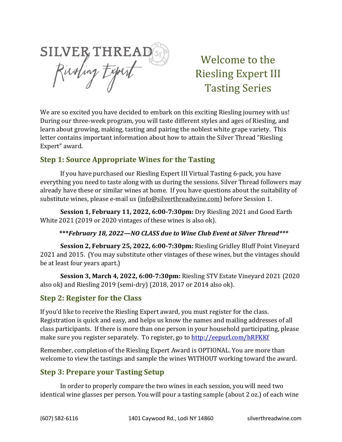SILVER THREAD

Welcome to the Riesling Expert III Tasting Series

We are so excited you have decided to embark on this exciting Riesling journey with us! During our three-week program, you will taste different styles and ages of Riesling, and learn about growing, making, tasting and pairing the noblest white grape variety. This letter contains important information about how to attain the Silver Thread "Riesling Expert" award.

# **Step 1: Source Appropriate Wines for the Tasting**

If you have purchased our Riesling Expert III Virtual Tasting 6-pack, you have everything you need to taste along with us during the sessions. Silver Thread followers may already have these or similar wines at home. If you have questions about the suitability of substitute wines, please e-mail us [\(info@silverthreadwine.com\)](mailto:info@silverthreadwine.com) before Session 1.

**Session 1, February 11, 2022, 6:00-7:30pm:** Dry Riesling 2021 and Good Earth White 2021 (2019 or 2020 vintages of these wines is also ok).

#### **\*\*\****February 18, 2022—NO CLASS due to Wine Club Event at Silver Thread\*\*\**

**Session 2, February 25, 2022, 6:00-7:30pm:** Riesling Gridley Bluff Point Vineyard 2021 and 2015. (You may substitute other vintages of these wines, but the vintages should be at least four years apart.)

**Session 3, March 4, 2022, 6:00-7:30pm:** Riesling STV Estate Vineyard 2021 (2020 also ok) and Riesling 2019 (semi-dry) (2018, 2017 or 2014 also ok).

### **Step 2: Register for the Class**

If you'd like to receive the Riesling Expert award, you must register for the class. Registration is quick and easy, and helps us know the names and mailing addresses of all class participants. If there is more than one person in your household participating, please make sure you register separately. To register, go to<http://eepurl.com/hRFKKf>

Remember, completion of the Riesling Expert Award is OPTIONAL. You are more than welcome to view the tastings and sample the wines WITHOUT working toward the award.

### **Step 3: Prepare your Tasting Setup**

In order to properly compare the two wines in each session, you will need two identical wine glasses per person. You will pour a tasting sample (about 2 oz.) of each wine